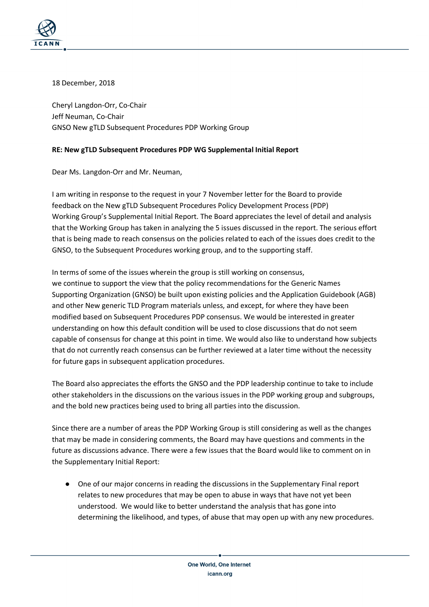

18 December, 2018

Cheryl Langdon-Orr, Co-Chair Jeff Neuman, Co-Chair GNSO New gTLD Subsequent Procedures PDP Working Group

## **RE: New gTLD Subsequent Procedures PDP WG Supplemental Initial Report**

Dear Ms. Langdon-Orr and Mr. Neuman,

I am writing in response to the request in your 7 November letter for the Board to provide feedback on the New gTLD Subsequent Procedures Policy Development Process (PDP) Working Group's Supplemental Initial Report. The Board appreciates the level of detail and analysis that the Working Group has taken in analyzing the 5 issues discussed in the report. The serious effort that is being made to reach consensus on the policies related to each of the issues does credit to the GNSO, to the Subsequent Procedures working group, and to the supporting staff.

In terms of some of the issues wherein the group is still working on consensus, we continue to support the view that the policy recommendations for the Generic Names Supporting Organization (GNSO) be built upon existing policies and the Application Guidebook (AGB) and other New generic TLD Program materials unless, and except, for where they have been modified based on Subsequent Procedures PDP consensus. We would be interested in greater understanding on how this default condition will be used to close discussions that do not seem capable of consensus for change at this point in time. We would also like to understand how subjects that do not currently reach consensus can be further reviewed at a later time without the necessity for future gaps in subsequent application procedures.

The Board also appreciates the efforts the GNSO and the PDP leadership continue to take to include other stakeholders in the discussions on the various issues in the PDP working group and subgroups, and the bold new practices being used to bring all parties into the discussion.

Since there are a number of areas the PDP Working Group is still considering as well as the changes that may be made in considering comments, the Board may have questions and comments in the future as discussions advance. There were a few issues that the Board would like to comment on in the Supplementary Initial Report:

● One of our major concerns in reading the discussions in the Supplementary Final report relates to new procedures that may be open to abuse in ways that have not yet been understood. We would like to better understand the analysis that has gone into determining the likelihood, and types, of abuse that may open up with any new procedures.